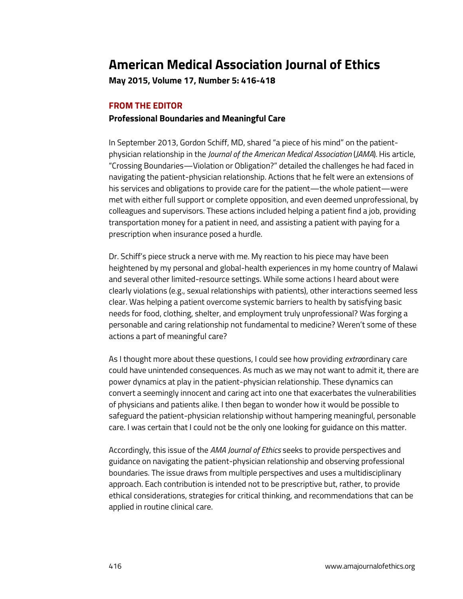# **American Medical Association Journal of Ethics**

**May 2015, Volume 17, Number 5: 416-418**

## **FROM THE EDITOR**

## **Professional Boundaries and Meaningful Care**

In September 2013, Gordon Schiff, MD, shared "a piece of his mind" on the patientphysician relationship in the *Journal of the American Medical Association* (*JAMA*)*.* His article, "Crossing Boundaries—Violation or Obligation?" detailed the challenges he had faced in navigating the patient-physician relationship. Actions that he felt were an extensions of his services and obligations to provide care for the patient—the whole patient—were met with either full support or complete opposition, and even deemed unprofessional, by colleagues and supervisors. These actions included helping a patient find a job, providing transportation money for a patient in need, and assisting a patient with paying for a prescription when insurance posed a hurdle.

Dr. Schiff's piece struck a nerve with me. My reaction to his piece may have been heightened by my personal and global-health experiences in my home country of Malawi and several other limited-resource settings. While some actions I heard about were clearly violations (e.g., sexual relationships with patients), other interactions seemed less clear. Was helping a patient overcome systemic barriers to health by satisfying basic needs for food, clothing, shelter, and employment truly unprofessional? Was forging a personable and caring relationship not fundamental to medicine? Weren't some of these actions a part of meaningful care?

As I thought more about these questions, I could see how providing *extra*ordinary care could have unintended consequences. As much as we may not want to admit it, there are power dynamics at play in the patient-physician relationship. These dynamics can convert a seemingly innocent and caring act into one that exacerbates the vulnerabilities of physicians and patients alike. I then began to wonder how it would be possible to safeguard the patient-physician relationship without hampering meaningful, personable care. I was certain that I could not be the only one looking for guidance on this matter.

Accordingly, this issue of the *AMA Journal of Ethics* seeks to provide perspectives and guidance on navigating the patient-physician relationship and observing professional boundaries. The issue draws from multiple perspectives and uses a multidisciplinary approach. Each contribution is intended not to be prescriptive but, rather, to provide ethical considerations, strategies for critical thinking, and recommendations that can be applied in routine clinical care.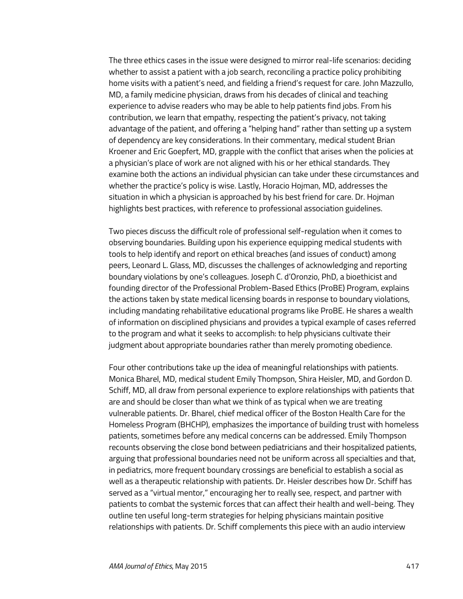The three ethics cases in the issue were designed to mirror real-life scenarios: deciding whether to assist a patient with a job search, reconciling a practice policy prohibiting home visits with a patient's need, and fielding a friend's request for care. John Mazzullo, MD, a family medicine physician, draws from his decades of clinical and teaching experience to advise readers who may be able to help patients find jobs. From his contribution, we learn that empathy, respecting the patient's privacy, not taking advantage of the patient, and offering a "helping hand" rather than setting up a system of dependency are key considerations. In their commentary, medical student Brian Kroener and Eric Goepfert, MD, grapple with the conflict that arises when the policies at a physician's place of work are not aligned with his or her ethical standards. They examine both the actions an individual physician can take under these circumstances and whether the practice's policy is wise. Lastly, Horacio Hojman, MD, addresses the situation in which a physician is approached by his best friend for care. Dr. Hojman highlights best practices, with reference to professional association guidelines.

Two pieces discuss the difficult role of professional self-regulation when it comes to observing boundaries. Building upon his experience equipping medical students with tools to help identify and report on ethical breaches (and issues of conduct) among peers, Leonard L. Glass, MD, discusses the challenges of acknowledging and reporting boundary violations by one's colleagues. Joseph C. d'Oronzio, PhD, a bioethicist and founding director of the Professional Problem-Based Ethics (ProBE) Program, explains the actions taken by state medical licensing boards in response to boundary violations, including mandating rehabilitative educational programs like ProBE. He shares a wealth of information on disciplined physicians and provides a typical example of cases referred to the program and what it seeks to accomplish: to help physicians cultivate their judgment about appropriate boundaries rather than merely promoting obedience.

Four other contributions take up the idea of meaningful relationships with patients. Monica Bharel, MD, medical student Emily Thompson, Shira Heisler, MD, and Gordon D. Schiff, MD, all draw from personal experience to explore relationships with patients that are and should be closer than what we think of as typical when we are treating vulnerable patients. Dr. Bharel, chief medical officer of the Boston Health Care for the Homeless Program (BHCHP), emphasizes the importance of building trust with homeless patients, sometimes before any medical concerns can be addressed. Emily Thompson recounts observing the close bond between pediatricians and their hospitalized patients, arguing that professional boundaries need not be uniform across all specialties and that, in pediatrics, more frequent boundary crossings are beneficial to establish a social as well as a therapeutic relationship with patients. Dr. Heisler describes how Dr. Schiff has served as a "virtual mentor," encouraging her to really see, respect, and partner with patients to combat the systemic forces that can affect their health and well-being. They outline ten useful long-term strategies for helping physicians maintain positive relationships with patients. Dr. Schiff complements this piece with an audio interview